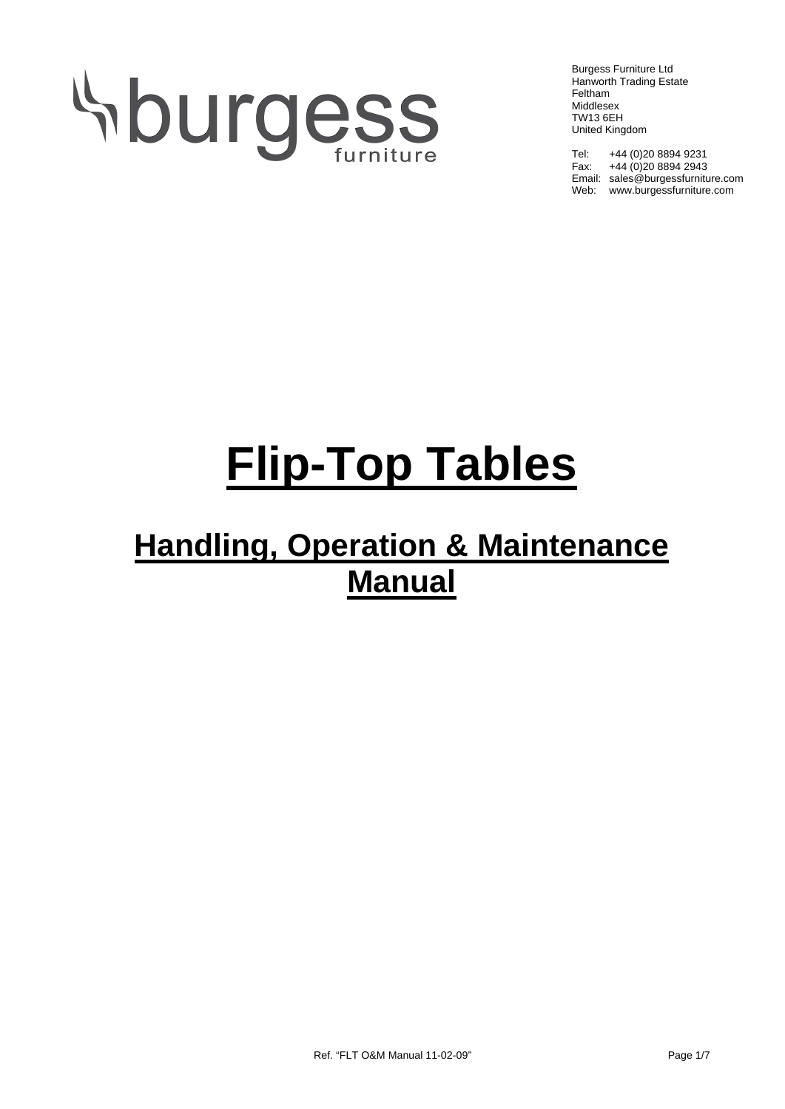# Aburgess

Burgess Furniture Ltd Hanworth Trading Estate Feltham Middlesex TW13 6EH United Kingdom

Tel: +44 (0)20 8894 9231 Fax: +44 (0)20 8894 2943 Email: sales@burgessfurniture.com Web: www.burgessfurniture.com

## **Flip-Top Tables**

### **Handling, Operation & Maintenance Manual**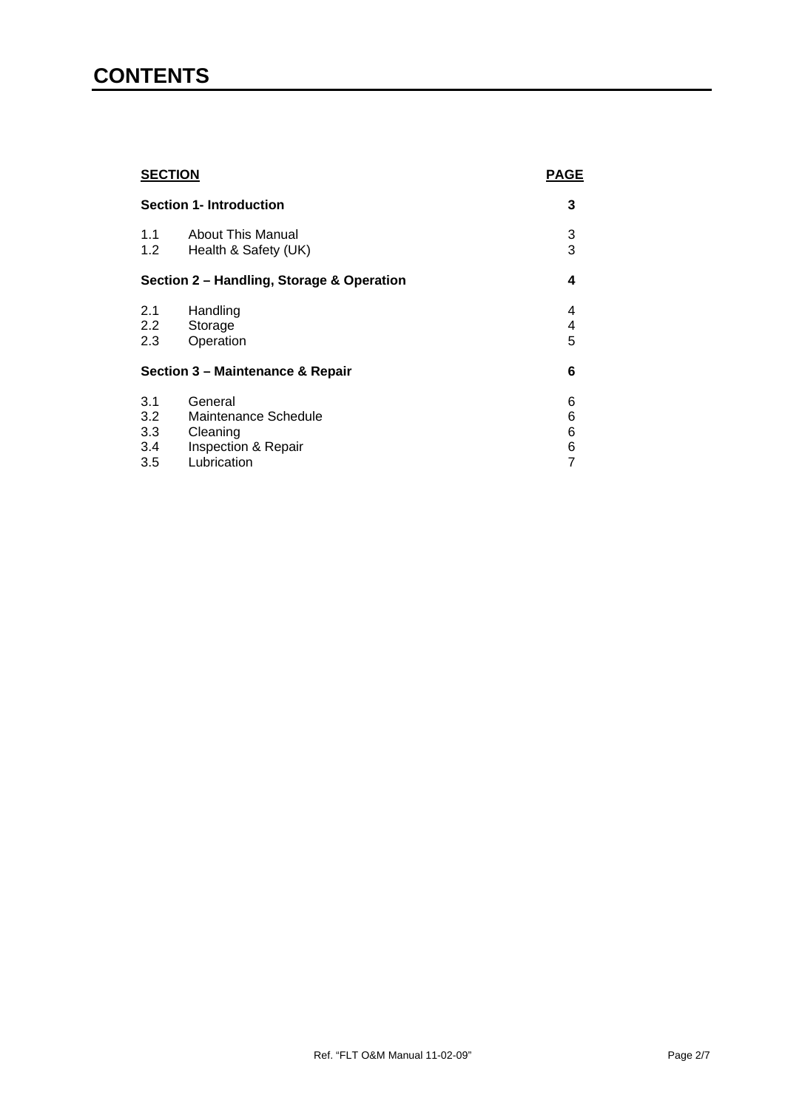#### **CONTENTS**

| <b>SECTION</b><br><b>Section 1- Introduction</b> |                          | <b>PAGE</b> |
|--------------------------------------------------|--------------------------|-------------|
|                                                  |                          | 3           |
| 1.1                                              | <b>About This Manual</b> | 3           |
| 1.2                                              | Health & Safety (UK)     | 3           |
| Section 2 - Handling, Storage & Operation        |                          | 4           |
| 2.1                                              | Handling                 | 4           |
| $2.2^{\circ}$                                    | Storage                  | 4           |
| 2.3                                              | Operation                | 5           |
| Section 3 - Maintenance & Repair                 |                          | 6           |
| 3.1                                              | General                  | 6           |
| 3.2                                              | Maintenance Schedule     | 6           |
| 3.3                                              | Cleaning                 | 6           |
| 3.4                                              | Inspection & Repair      | 6           |
| 3.5                                              | Lubrication              | 7           |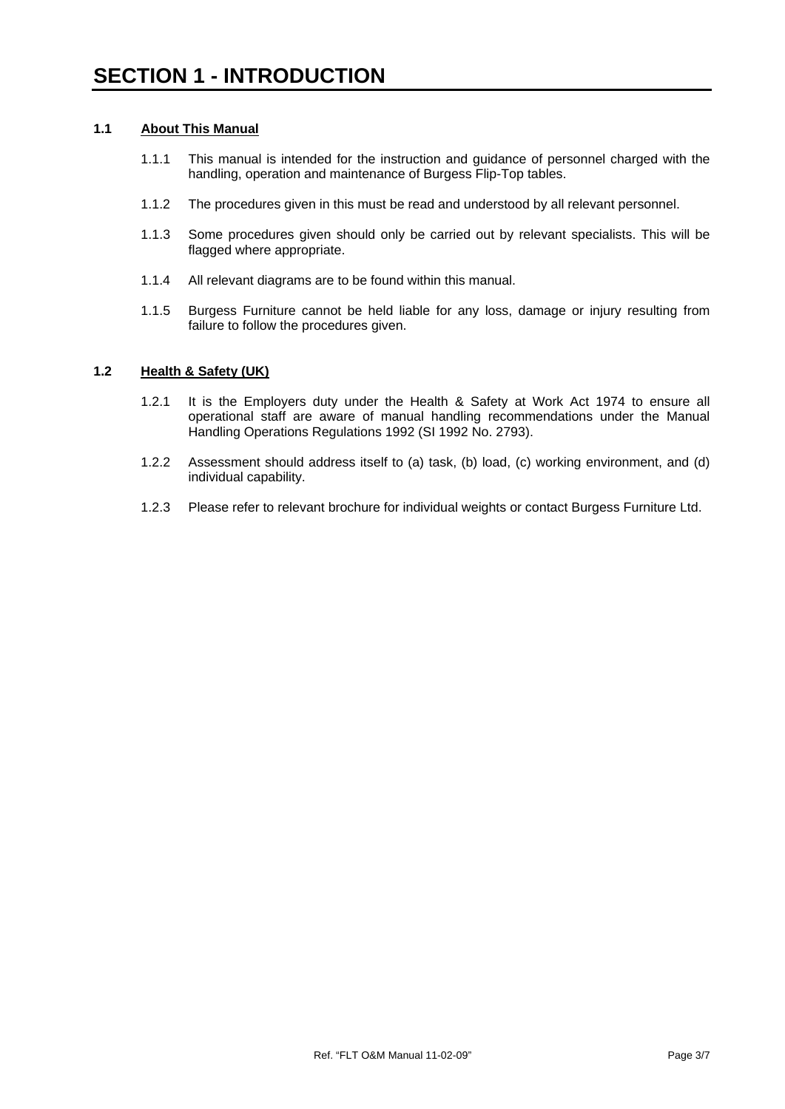#### **1.1 About This Manual**

- 1.1.1 This manual is intended for the instruction and guidance of personnel charged with the handling, operation and maintenance of Burgess Flip-Top tables.
- 1.1.2 The procedures given in this must be read and understood by all relevant personnel.
- 1.1.3 Some procedures given should only be carried out by relevant specialists. This will be flagged where appropriate.
- 1.1.4 All relevant diagrams are to be found within this manual.
- 1.1.5 Burgess Furniture cannot be held liable for any loss, damage or injury resulting from failure to follow the procedures given.

#### **1.2 Health & Safety (UK)**

- 1.2.1 It is the Employers duty under the Health & Safety at Work Act 1974 to ensure all operational staff are aware of manual handling recommendations under the Manual Handling Operations Regulations 1992 (SI 1992 No. 2793).
- 1.2.2 Assessment should address itself to (a) task, (b) load, (c) working environment, and (d) individual capability.
- 1.2.3 Please refer to relevant brochure for individual weights or contact Burgess Furniture Ltd.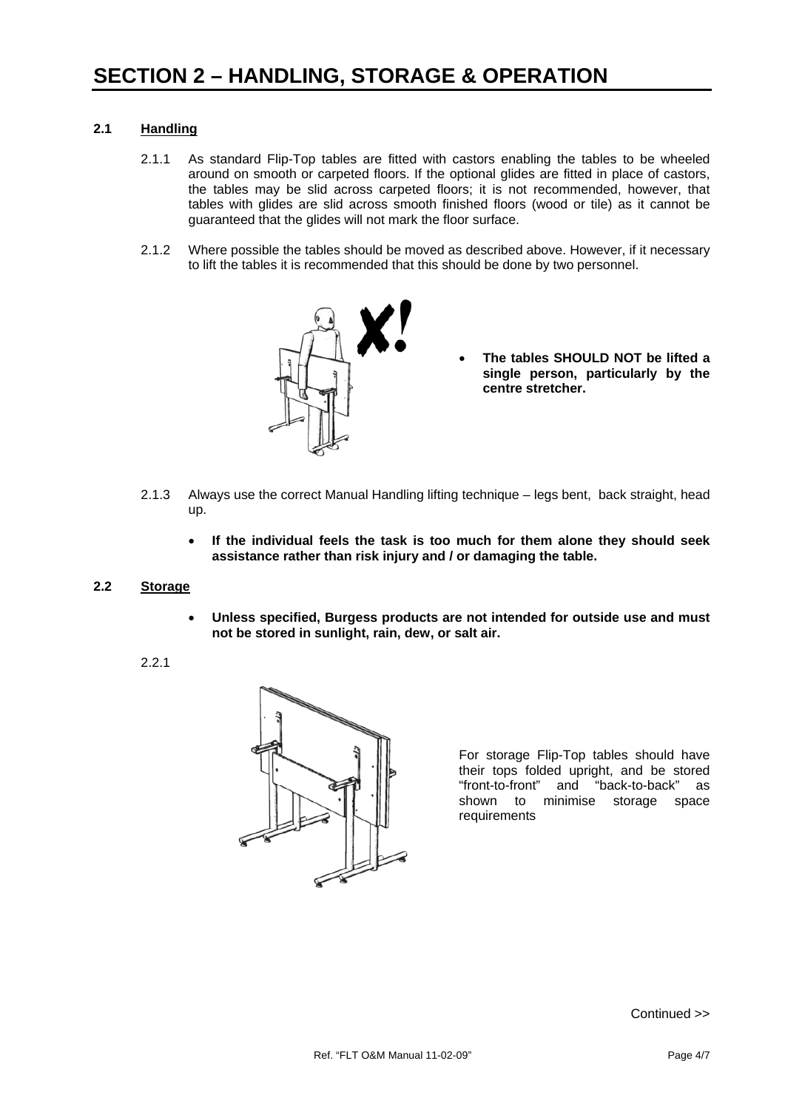#### **2.1 Handling**

- 2.1.1 As standard Flip-Top tables are fitted with castors enabling the tables to be wheeled around on smooth or carpeted floors. If the optional glides are fitted in place of castors, the tables may be slid across carpeted floors; it is not recommended, however, that tables with glides are slid across smooth finished floors (wood or tile) as it cannot be guaranteed that the glides will not mark the floor surface.
- 2.1.2 Where possible the tables should be moved as described above. However, if it necessary to lift the tables it is recommended that this should be done by two personnel.



- **The tables SHOULD NOT be lifted a single person, particularly by the centre stretcher.**
- 2.1.3 Always use the correct Manual Handling lifting technique legs bent, back straight, head up.
	- **If the individual feels the task is too much for them alone they should seek assistance rather than risk injury and / or damaging the table.**
- **2.2 Storage**
	- **Unless specified, Burgess products are not intended for outside use and must not be stored in sunlight, rain, dew, or salt air.**
	- 2.2.1



For storage Flip-Top tables should have their tops folded upright, and be stored "front-to-front" and "back-to-back" as shown to minimise storage space requirements

Continued >>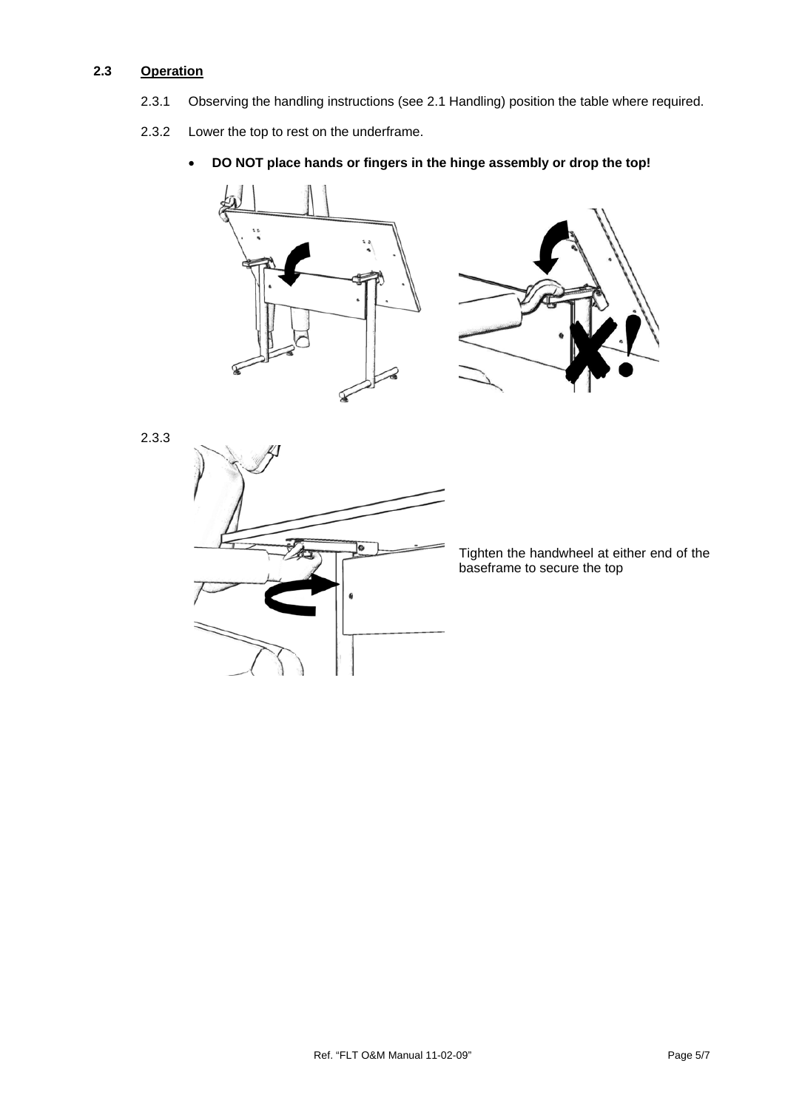#### **2.3 Operation**

- 2.3.1 Observing the handling instructions (see 2.1 Handling) position the table where required.
- 2.3.2 Lower the top to rest on the underframe.
	- **DO NOT place hands or fingers in the hinge assembly or drop the top!**



2.3.3



Tighten the handwheel at either end of the baseframe to secure the top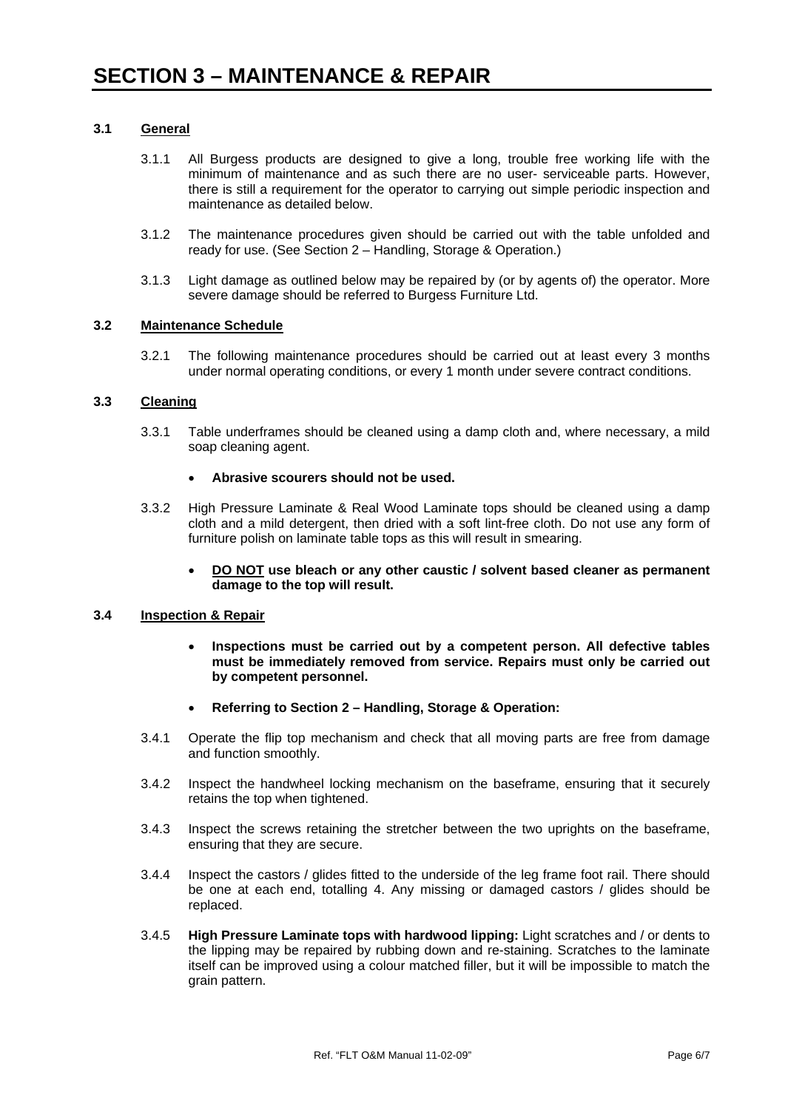#### **3.1 General**

- 3.1.1 All Burgess products are designed to give a long, trouble free working life with the minimum of maintenance and as such there are no user- serviceable parts. However, there is still a requirement for the operator to carrying out simple periodic inspection and maintenance as detailed below.
- 3.1.2 The maintenance procedures given should be carried out with the table unfolded and ready for use. (See Section 2 – Handling, Storage & Operation.)
- 3.1.3 Light damage as outlined below may be repaired by (or by agents of) the operator. More severe damage should be referred to Burgess Furniture Ltd.

#### **3.2 Maintenance Schedule**

3.2.1 The following maintenance procedures should be carried out at least every 3 months under normal operating conditions, or every 1 month under severe contract conditions.

#### **3.3 Cleaning**

3.3.1 Table underframes should be cleaned using a damp cloth and, where necessary, a mild soap cleaning agent.

#### • **Abrasive scourers should not be used.**

- 3.3.2 High Pressure Laminate & Real Wood Laminate tops should be cleaned using a damp cloth and a mild detergent, then dried with a soft lint-free cloth. Do not use any form of furniture polish on laminate table tops as this will result in smearing.
	- **DO NOT use bleach or any other caustic / solvent based cleaner as permanent damage to the top will result.**

#### **3.4 Inspection & Repair**

- **Inspections must be carried out by a competent person. All defective tables must be immediately removed from service. Repairs must only be carried out by competent personnel.**
- **Referring to Section 2 Handling, Storage & Operation:**
- 3.4.1 Operate the flip top mechanism and check that all moving parts are free from damage and function smoothly.
- 3.4.2 Inspect the handwheel locking mechanism on the baseframe, ensuring that it securely retains the top when tightened.
- 3.4.3 Inspect the screws retaining the stretcher between the two uprights on the baseframe, ensuring that they are secure.
- 3.4.4 Inspect the castors / glides fitted to the underside of the leg frame foot rail. There should be one at each end, totalling 4. Any missing or damaged castors / glides should be replaced.
- 3.4.5 **High Pressure Laminate tops with hardwood lipping:** Light scratches and / or dents to the lipping may be repaired by rubbing down and re-staining. Scratches to the laminate itself can be improved using a colour matched filler, but it will be impossible to match the grain pattern.